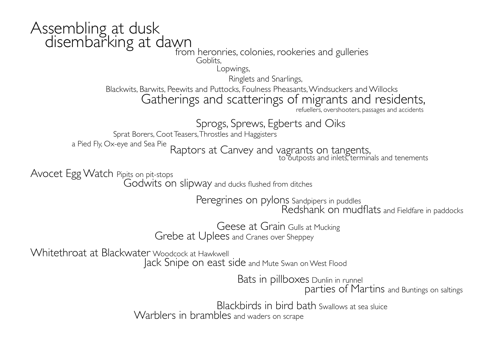## Assembling at dusk<br>disembarking at dawn

## from heronries, colonies, rookeries and gulleries<br>Goblits. Goblits,

Lopwings,

Ringlets and Snarlings,

Blackwits, Barwits, Peewits and Puttocks, Foulness Pheasants, Windsuckers and Willocks Gatherings and scatterings of migrants and residents,

refuellers, overshooters, passages and accidents

Sprogs, Sprews, Egberts and Oiks<br>Sprat Borers, Coot Teasers, Throstles and Haggisters

a Pied Fly, Ox-eye and Sea Pie Raptors at Canvey and vagrants on tangents, to outposts and inlets, terminals and tenements

Avocet Egg Watch Pipits on pit-stops

Godwits on slipway and ducks flushed from ditches

Peregrines on pylons Sandpipers in puddles

Redshank on mudflats and Fieldfare in paddocks

 Geese at Grain Gulls at Mucking Grebe at Uplees and Cranes over Sheppey

Whitethroat at Blackwater Woodcock at Hawkwell

Jack Snipe on east side and Mute Swan on West Flood

Bats in pillboxes Dunlin in runnel

parties of Martins and Buntings on saltings

 Blackbirds in bird bath Swallows at sea sluice Warblers in brambles and waders on scrape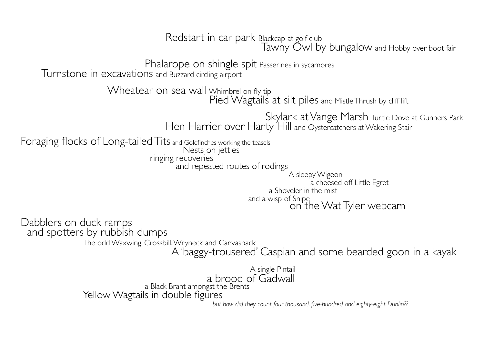Redstart in car park Blackcap at golf club Tawny Owl by bungalow and Hobby over boot fair

Phalarope on shingle spit Passerines in sycamores

Turnstone in excavations and Buzzard circling airport

Wheatear on sea wall Whimbrel on fly tip

Pied Wagtails at silt piles and Mistle Thrush by cliff lift

 Skylark at Vange Marsh Turtle Dove at Gunners Park Hen Harrier over Harty Hill and Oystercatchers at Wakering Stair

Foraging flocks of Long-tailed Tits and Goldfinches working the teasels Nests on jetties

ringing recoveries

and repeated routes of rodings

 A sleepy Wigeon a cheesed off Little Egret a Shoveler in the mist and a wisp of Snipe on the Wat Tyler webcam

Dabblers on duck ramps and spotters by rubbish dumps

The odd Waxwing, Crossbill, Wryneck and Canvasback

A 'baggy-trousered' Caspian and some bearded goon in a kayak

 A single Pintail a brood of Gadwall a Black Brant amongst the Brents<br>Yellow Wagtails in double figures

but how did they count four thousand, five-hundred and eighty-eight Dunlin??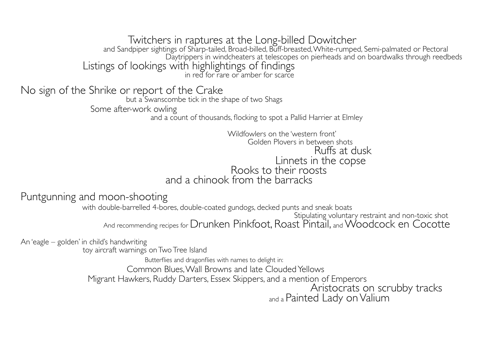Twitchers in raptures at the Long-billed Dowitcher and Sandpiper sightings of Sharp-tailed, Broad-billed, Buff-breasted, White-rumped, Semi-palmated or Pectoral Daytrippers in windcheaters at telescopes on pierheads and on boardwalks through reedbeds Listings of lookings with highlightings of findings in red for rare or amber for scarce

No sign of the Shrike or report of the Crake

but a Swanscombe tick in the shape of two Shags

Some after-work owling

and a count of thousands, flocking to spot a Pallid Harrier at Elmley

 Wildfowlers on the 'western front' Golden Plovers in between shots Ruffs at dusk Linnets in the copse Rooks to their roosts and a chinook from the barracks

## Puntgunning and moon-shooting

 with double-barrelled 4-bores, double-coated gundogs, decked punts and sneak boats Stipulating voluntary restraint and non-toxic shot And recommending recipes for Drunken Pinkfoot, Roast Pintail, and Woodcock en Cocotte

An 'eagle – golden' in child's handwriting

toy aircraft warnings on Two Tree Island

Butterflies and dragonflies with names to delight in:

Common Blues, Wall Browns and late Clouded Yellows

Migrant Hawkers, Ruddy Darters, Essex Skippers, and a mention of Emperors

 Aristocrats on scrubby tracks and a Painted Lady on Valium